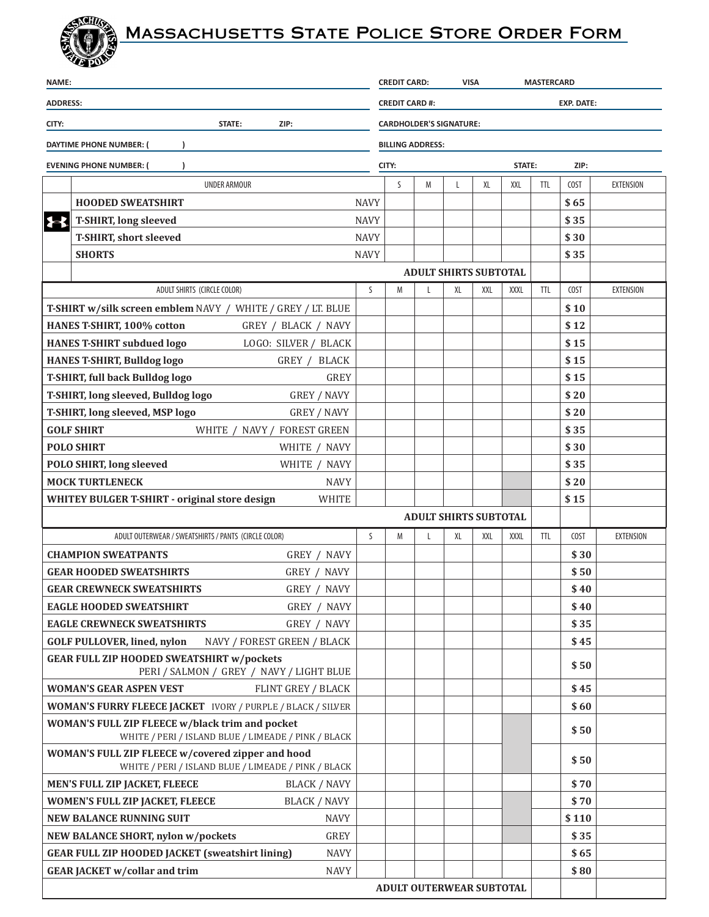## ACINA Massachusetts State Police Store Order Form

| <b>NAME:</b>                                                                                             |                                                                                    |             | <b>VISA</b><br><b>MASTERCARD</b><br><b>CREDIT CARD:</b> |   |    |                              |        |            |       |                  |
|----------------------------------------------------------------------------------------------------------|------------------------------------------------------------------------------------|-------------|---------------------------------------------------------|---|----|------------------------------|--------|------------|-------|------------------|
| <b>ADDRESS:</b>                                                                                          |                                                                                    |             | <b>CREDIT CARD #:</b><br><b>EXP. DATE:</b>              |   |    |                              |        |            |       |                  |
| STATE:<br>CITY:<br>ZIP:                                                                                  |                                                                                    |             | <b>CARDHOLDER'S SIGNATURE:</b>                          |   |    |                              |        |            |       |                  |
| DAYTIME PHONE NUMBER: (                                                                                  |                                                                                    |             | <b>BILLING ADDRESS:</b>                                 |   |    |                              |        |            |       |                  |
| <b>EVENING PHONE NUMBER: (</b>                                                                           |                                                                                    |             | CITY:                                                   |   |    |                              | STATE: |            | ZIP:  |                  |
|                                                                                                          | <b>UNDER ARMOUR</b>                                                                |             | S.                                                      | M | L  | XL                           | XXL    | <b>TTL</b> | COST  | <b>EXTENSION</b> |
|                                                                                                          | <b>HOODED SWEATSHIRT</b>                                                           | <b>NAVY</b> |                                                         |   |    |                              |        |            | \$65  |                  |
| $\blacktriangleright$                                                                                    | <b>T-SHIRT, long sleeved</b>                                                       | <b>NAVY</b> |                                                         |   |    |                              |        |            | \$35  |                  |
|                                                                                                          | <b>T-SHIRT, short sleeved</b>                                                      | <b>NAVY</b> |                                                         |   |    |                              |        |            | \$30  |                  |
|                                                                                                          | <b>SHORTS</b>                                                                      | <b>NAVY</b> |                                                         |   |    |                              |        |            | \$35  |                  |
|                                                                                                          |                                                                                    |             |                                                         |   |    | <b>ADULT SHIRTS SUBTOTAL</b> |        |            |       |                  |
|                                                                                                          | ADULT SHIRTS (CIRCLE COLOR)                                                        | S           | M                                                       | L | XL | XXL                          | XXXL   | <b>TTL</b> | COST  | <b>EXTENSION</b> |
| <b>T-SHIRT w/silk screen emblem NAVY / WHITE / GREY / LT. BLUE</b>                                       |                                                                                    |             |                                                         |   |    |                              |        |            | \$10  |                  |
|                                                                                                          | HANES T-SHIRT, 100% cotton<br>GREY / BLACK / NAVY                                  |             |                                                         |   |    |                              |        |            | \$12  |                  |
|                                                                                                          | <b>HANES T-SHIRT subdued logo</b><br>LOGO: SILVER / BLACK                          |             |                                                         |   |    |                              |        |            | \$15  |                  |
|                                                                                                          | <b>HANES T-SHIRT, Bulldog logo</b><br>GREY / BLACK                                 |             |                                                         |   |    |                              |        |            | \$15  |                  |
|                                                                                                          | <b>T-SHIRT, full back Bulldog logo</b><br><b>GREY</b>                              |             |                                                         |   |    |                              |        |            | \$15  |                  |
|                                                                                                          | T-SHIRT, long sleeved, Bulldog logo<br><b>GREY / NAVY</b>                          |             |                                                         |   |    |                              |        |            | \$20  |                  |
|                                                                                                          | T-SHIRT, long sleeved, MSP logo<br><b>GREY / NAVY</b>                              |             |                                                         |   |    |                              |        |            | \$20  |                  |
|                                                                                                          | <b>GOLF SHIRT</b><br>WHITE / NAVY / FOREST GREEN                                   |             |                                                         |   |    |                              |        |            | \$35  |                  |
| <b>POLO SHIRT</b><br>WHITE / NAVY                                                                        |                                                                                    |             |                                                         |   |    |                              |        |            | \$30  |                  |
|                                                                                                          | <b>POLO SHIRT, long sleeved</b><br>WHITE / NAVY                                    |             |                                                         |   |    |                              |        |            | \$35  |                  |
| <b>MOCK TURTLENECK</b><br><b>NAVY</b>                                                                    |                                                                                    |             |                                                         |   |    |                              |        |            | \$20  |                  |
| <b>WHITEY BULGER T-SHIRT - original store design</b><br><b>WHITE</b>                                     |                                                                                    |             |                                                         |   |    | <b>ADULT SHIRTS SUBTOTAL</b> |        |            | \$15  |                  |
|                                                                                                          |                                                                                    | S           | M                                                       | L | XL | XXL                          | XXXL   | <b>TTL</b> | COST  | <b>EXTENSION</b> |
|                                                                                                          | ADULT OUTERWEAR / SWEATSHIRTS / PANTS (CIRCLE COLOR)<br><b>CHAMPION SWEATPANTS</b> |             |                                                         |   |    |                              |        |            | \$30  |                  |
|                                                                                                          | GREY / NAVY<br><b>GEAR HOODED SWEATSHIRTS</b><br>GREY / NAVY                       |             |                                                         |   |    |                              |        |            | \$50  |                  |
|                                                                                                          | <b>GEAR CREWNECK SWEATSHIRTS</b><br>GREY / NAVY                                    |             |                                                         |   |    |                              |        |            | \$40  |                  |
|                                                                                                          | GREY / NAVY                                                                        |             |                                                         |   |    |                              |        |            | \$40  |                  |
| <b>EAGLE HOODED SWEATSHIRT</b><br><b>EAGLE CREWNECK SWEATSHIRTS</b><br>GREY / NAVY                       |                                                                                    |             |                                                         |   |    |                              |        |            | \$35  |                  |
| <b>GOLF PULLOVER, lined, nylon</b><br>NAVY / FOREST GREEN / BLACK                                        |                                                                                    |             |                                                         |   |    |                              |        |            | \$45  |                  |
| <b>GEAR FULL ZIP HOODED SWEATSHIRT w/pockets</b><br>PERI / SALMON / GREY / NAVY / LIGHT BLUE             |                                                                                    |             |                                                         |   |    |                              |        |            | \$50  |                  |
| <b>WOMAN'S GEAR ASPEN VEST</b><br>FLINT GREY / BLACK                                                     |                                                                                    |             |                                                         |   |    |                              |        |            | \$45  |                  |
| <b>WOMAN'S FURRY FLEECE JACKET</b> IVORY / PURPLE / BLACK / SILVER                                       |                                                                                    |             |                                                         |   |    |                              |        |            | \$60  |                  |
| WOMAN'S FULL ZIP FLEECE w/black trim and pocket<br>WHITE / PERI / ISLAND BLUE / LIMEADE / PINK / BLACK   |                                                                                    |             |                                                         |   |    |                              |        |            | \$50  |                  |
| WOMAN'S FULL ZIP FLEECE w/covered zipper and hood<br>WHITE / PERI / ISLAND BLUE / LIMEADE / PINK / BLACK |                                                                                    |             |                                                         |   |    |                              |        |            | \$50  |                  |
| MEN'S FULL ZIP JACKET, FLEECE<br><b>BLACK / NAVY</b>                                                     |                                                                                    |             |                                                         |   |    |                              |        |            | \$70  |                  |
|                                                                                                          | WOMEN'S FULL ZIP JACKET, FLEECE<br><b>BLACK / NAVY</b>                             |             |                                                         |   |    |                              |        |            | \$70  |                  |
| <b>NEW BALANCE RUNNING SUIT</b><br><b>NAVY</b>                                                           |                                                                                    |             |                                                         |   |    |                              |        |            | \$110 |                  |
| <b>GREY</b><br>NEW BALANCE SHORT, nylon w/pockets                                                        |                                                                                    |             |                                                         |   |    |                              |        |            | \$35  |                  |
| <b>GEAR FULL ZIP HOODED JACKET (sweatshirt lining)</b><br><b>NAVY</b>                                    |                                                                                    |             |                                                         |   |    |                              |        |            | \$65  |                  |
| <b>GEAR JACKET w/collar and trim</b><br><b>NAVY</b>                                                      |                                                                                    |             |                                                         |   |    |                              |        |            | \$80  |                  |
| ADULT OUTERWEAR SUBTOTAL                                                                                 |                                                                                    |             |                                                         |   |    |                              |        |            |       |                  |